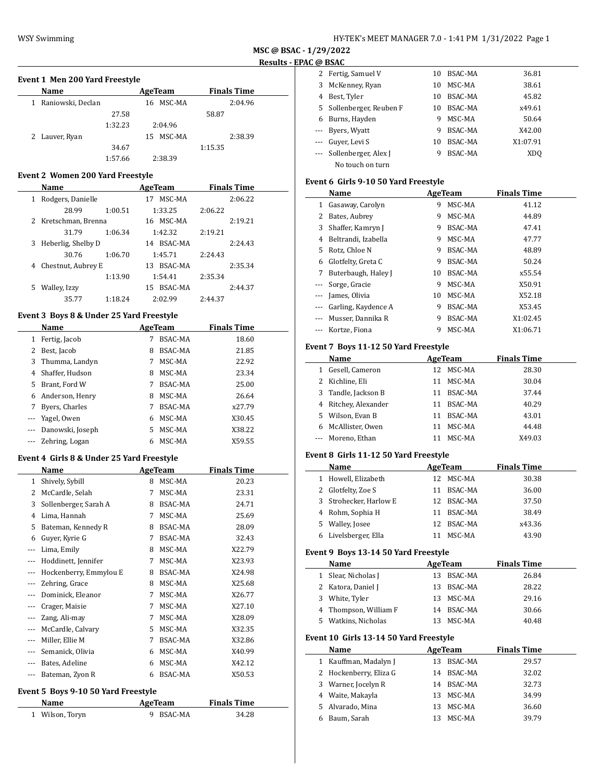$\overline{\phantom{a}}$ 

### **MSC @ BSAC - 1/29/2022 Results - EPAC @ BSAC**

 $\overline{\phantom{a}}$ 

 $\overline{\phantom{a}}$ 

### **Event 1 Men 200 Yard Freestyle**

| Name                   | AgeTeam      | <b>Finals Time</b> |
|------------------------|--------------|--------------------|
| Raniowski, Declan<br>1 | 16 MSC-MA    | 2:04.96            |
| 27.58                  |              | 58.87              |
| 1:32.23                | 2:04.96      |                    |
| 2 Lauver, Ryan         | MSC-MA<br>15 | 2:38.39            |
| 34.67                  |              | 1:15.35            |
| 1:57.66                | 2:38.39      |                    |

### **Event 2 Women 200 Yard Freestyle**

|   | Name                 |         | AgeTeam       | <b>Finals Time</b> |
|---|----------------------|---------|---------------|--------------------|
| 1 | Rodgers, Danielle    |         | MSC-MA<br>17  | 2:06.22            |
|   | 28.99                | 1:00.51 | 1:33.25       | 2:06.22            |
|   | 2 Kretschman, Brenna |         | MSC-MA<br>16  | 2:19.21            |
|   | 31.79                | 1:06.34 | 1:42.32       | 2:19.21            |
| 3 | Heberlig, Shelby D   |         | BSAC-MA<br>14 | 2:24.43            |
|   | 30.76                | 1:06.70 | 1:45.71       | 2:24.43            |
| 4 | Chestnut, Aubrey E   |         | BSAC-MA<br>13 | 2:35.34            |
|   |                      | 1:13.90 | 1:54.41       | 2:35.34            |
| 5 | Walley, Izzy         |         | BSAC-MA<br>15 | 2:44.37            |
|   | 35.77                | 1:18.24 | 2:02.99       | 2:44.37            |

## **Event 3 Boys 8 & Under 25 Yard Freestyle**

|          | Name             |    | AgeTeam        | <b>Finals Time</b> |
|----------|------------------|----|----------------|--------------------|
| 1        | Fertig, Jacob    | 7  | <b>BSAC-MA</b> | 18.60              |
| 2        | Best, Jacob      | 8  | <b>BSAC-MA</b> | 21.85              |
| 3        | Thumma, Landyn   |    | MSC-MA         | 22.92              |
| 4        | Shaffer, Hudson  | 8  | MSC-MA         | 23.34              |
| 5        | Brant, Ford W    | 7  | <b>BSAC-MA</b> | 25.00              |
| 6        | Anderson, Henry  | 8  | MSC-MA         | 26.64              |
| 7        | Byers, Charles   |    | BSAC-MA        | x27.79             |
| $\cdots$ | Yagel, Owen      | 6  | MSC-MA         | X30.45             |
| $---$    | Danowski, Joseph | 5. | MSC-MA         | X38.22             |
|          | Zehring, Logan   | 6  | MSC-MA         | X59.55             |

### **Event 4 Girls 8 & Under 25 Yard Freestyle**

|          | Name                   |    | <b>AgeTeam</b> | <b>Finals Time</b> |  |
|----------|------------------------|----|----------------|--------------------|--|
| 1        | Shively, Sybill        | 8  | MSC-MA         | 20.23              |  |
| 2        | McCardle, Selah        | 7  | MSC-MA         | 23.31              |  |
| 3        | Sollenberger, Sarah A  | 8  | BSAC-MA        | 24.71              |  |
| 4        | Lima, Hannah           | 7  | MSC-MA         | 25.69              |  |
| 5        | Bateman, Kennedy R     | 8  | BSAC-MA        | 28.09              |  |
| 6        | Guyer, Kyrie G         | 7  | BSAC-MA        | 32.43              |  |
| $---$    | Lima, Emily            | 8  | MSC-MA         | X22.79             |  |
|          | Hoddinett, Jennifer    | 7  | MSC-MA         | X23.93             |  |
|          | Hockenberry, Emmylou E | 8  | BSAC-MA        | X24.98             |  |
|          | Zehring, Grace         | 8  | MSC-MA         | X25.68             |  |
|          | Dominick, Eleanor      | 7  | MSC-MA         | X26.77             |  |
|          | Crager, Maisie         | 7  | MSC-MA         | X27.10             |  |
| $\cdots$ | Zang, Ali-may          | 7  | MSC-MA         | X28.09             |  |
| $\cdots$ | McCardle, Calvary      | 5. | MSC-MA         | X32.35             |  |
| $\cdots$ | Miller, Ellie M        | 7  | BSAC-MA        | X32.86             |  |
| ---      | Semanick, Olivia       | 6  | MSC-MA         | X40.99             |  |
| $\cdots$ | Bates, Adeline         | 6  | MSC-MA         | X42.12             |  |
| ---      | Bateman, Zyon R        | 6  | <b>BSAC-MA</b> | X50.53             |  |

#### **Event 5 Boys 9-10 50 Yard Freestyle**

| Name            | AgeTeam   | <b>Finals Time</b> |  |
|-----------------|-----------|--------------------|--|
| 1 Wilson, Toryn | 9 BSAC-MA | 34.28              |  |

|          | ւ ա ոշու               |    |                |          |  |
|----------|------------------------|----|----------------|----------|--|
|          | Fertig, Samuel V       | 10 | BSAC-MA        | 36.81    |  |
| 3        | McKenney, Ryan         | 10 | MSC-MA         | 38.61    |  |
|          | Best, Tyler            | 10 | BSAC-MA        | 45.82    |  |
| 5.       | Sollenberger, Reuben F | 10 | BSAC-MA        | x49.61   |  |
| 6        | Burns, Hayden          | 9  | MSC-MA         | 50.64    |  |
| $\cdots$ | Byers, Wyatt           | 9  | <b>BSAC-MA</b> | X42.00   |  |
| $\cdots$ | Guyer, Levi S          | 10 | BSAC-MA        | X1:07.91 |  |
|          | Sollenberger, Alex J   | 9  | <b>BSAC-MA</b> | XDO      |  |
|          | No touch on turn       |    |                |          |  |

## **Event 6 Girls 9-10 50 Yard Freestyle**

|          | Name                |    | AgeTeam        | <b>Finals Time</b> |  |
|----------|---------------------|----|----------------|--------------------|--|
| 1        | Gasaway, Carolyn    | 9  | MSC-MA         | 41.12              |  |
| 2        | Bates, Aubrey       | 9  | MSC-MA         | 44.89              |  |
| 3        | Shaffer, Kamryn J   | 9  | BSAC-MA        | 47.41              |  |
| 4        | Beltrandi, Izabella | 9  | MSC-MA         | 47.77              |  |
| 5.       | Rotz, Chloe N       | 9  | <b>BSAC-MA</b> | 48.89              |  |
| 6        | Glotfelty, Greta C  | 9  | <b>BSAC-MA</b> | 50.24              |  |
| 7        | Buterbaugh, Haley J | 10 | <b>BSAC-MA</b> | x55.54             |  |
|          | Sorge, Gracie       | 9  | MSC-MA         | X50.91             |  |
|          | James, Olivia       | 10 | MSC-MA         | X52.18             |  |
| $\cdots$ | Garling, Kaydence A | 9  | <b>BSAC-MA</b> | X53.45             |  |
|          | Musser, Dannika R   | 9  | <b>BSAC-MA</b> | X1:02.45           |  |
|          | Kortze, Fiona       | 9  | MSC-MA         | X1:06.71           |  |

### **Event 7 Boys 11-12 50 Yard Freestyle**

|   | Name                 |    | AgeTeam | <b>Finals Time</b> |
|---|----------------------|----|---------|--------------------|
| 1 | Gesell, Cameron      | 12 | MSC-MA  | 28.30              |
|   | 2 Kichline, Eli      | 11 | MSC-MA  | 30.04              |
|   | 3 Tandle, Jackson B  | 11 | BSAC-MA | 37.44              |
|   | 4 Ritchey, Alexander | 11 | BSAC-MA | 40.29              |
|   | 5 Wilson, Evan B     | 11 | BSAC-MA | 43.01              |
|   | 6 McAllister, Owen   | 11 | MSC-MA  | 44.48              |
|   | --- Moreno, Ethan    |    | MSC-MA  | X49.03             |

# **Event 8 Girls 11-12 50 Yard Freestyle**

|   | Name                   |    | AgeTeam    | <b>Finals Time</b> |  |
|---|------------------------|----|------------|--------------------|--|
| 1 | Howell, Elizabeth      |    | 12 MSC-MA  | 30.38              |  |
|   | 2 Glotfelty, Zoe S     | 11 | BSAC-MA    | 36.00              |  |
|   | 3 Strohecker, Harlow E |    | 12 BSAC-MA | 37.50              |  |
|   | 4 Rohm, Sophia H       |    | 11 BSAC-MA | 38.49              |  |
|   | 5 Walley, Josee        |    | 12 BSAC-MA | x43.36             |  |
|   | 6 Livelsberger, Ella   |    | MSC-MA     | 43.90              |  |

## **Event 9 Boys 13-14 50 Yard Freestyle**

|              | Little 7 Dove 19 11 50 Iditi IItestvič |    |                |                    |
|--------------|----------------------------------------|----|----------------|--------------------|
|              | Name                                   |    | AgeTeam        | <b>Finals Time</b> |
| $\mathbf{1}$ | Slear, Nicholas J                      | 13 | BSAC-MA        | 26.84              |
| 2            | Katora, Daniel J                       | 13 | BSAC-MA        | 28.22              |
| 3            | White, Tyler                           | 13 | MSC-MA         | 29.16              |
| 4            | Thompson, William F                    | 14 | BSAC-MA        | 30.66              |
| 5.           | Watkins, Nicholas                      | 13 | MSC-MA         | 40.48              |
|              | Event 10 Girls 13-14 50 Yard Freestyle |    |                |                    |
|              | Name                                   |    | AgeTeam        | <b>Finals Time</b> |
| $\mathbf{1}$ | Kauffman, Madalyn J                    | 13 | <b>BSAC-MA</b> | 29.57              |
| 2            | Hockenberry, Eliza G                   |    | 14 BSAC-MA     | 32.02              |
| 3            | Warner, Jocelyn R                      | 14 | <b>BSAC-MA</b> | 32.73              |
| 4            | Waite, Makayla                         | 13 | MSC-MA         | 34.99              |
| 5.           | Alvarado, Mina                         | 13 | MSC-MA         | 36.60              |
|              |                                        |    |                |                    |
| 6            | Baum, Sarah                            | 13 | MSC-MA         | 39.79              |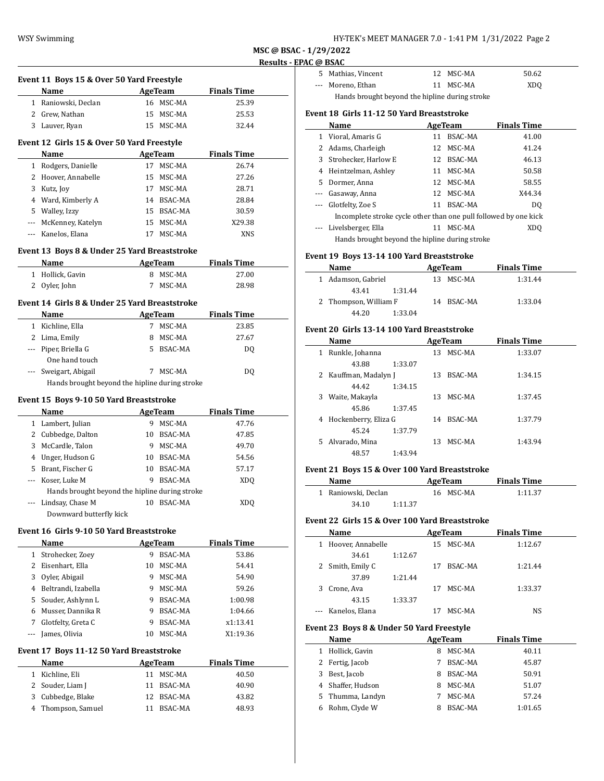| HY-TEK's MEET MANAGER 7.0 - 1:41 PM 1/31/2022 Page 2 |
|------------------------------------------------------|
|------------------------------------------------------|

|              | Event 11 Boys 15 & Over 50 Yard Freestyle      |    |                |                    |
|--------------|------------------------------------------------|----|----------------|--------------------|
|              | Name                                           |    | <b>AgeTeam</b> | <b>Finals Time</b> |
|              | 1 Raniowski, Declan                            |    | 16 MSC-MA      | 25.39              |
|              | 2 Grew, Nathan                                 |    | 15 MSC-MA      | 25.53              |
|              | 3 Lauver, Ryan                                 |    | 15 MSC-MA      | 32.44              |
|              | Event 12 Girls 15 & Over 50 Yard Freestyle     |    |                |                    |
|              | Name                                           |    | <b>AgeTeam</b> | <b>Finals Time</b> |
|              | 1 Rodgers, Danielle                            |    | 17 MSC-MA      | 26.74              |
|              | 2 Hoover, Annabelle                            |    | 15 MSC-MA      | 27.26              |
|              | 3 Kutz, Joy                                    |    | 17 MSC-MA      | 28.71              |
|              | 4 Ward, Kimberly A                             |    | 14 BSAC-MA     | 28.84              |
|              | 5 Walley, Izzy                                 |    | 15 BSAC-MA     | 30.59              |
|              | --- McKenney, Katelyn                          |    | 15 MSC-MA      | X29.38             |
|              | --- Kanelos, Elana                             |    | 17 MSC-MA      | XNS                |
|              | Event 13 Boys 8 & Under 25 Yard Breaststroke   |    |                |                    |
|              | <b>Example 2</b> AgeTeam<br>Name               |    |                | <b>Finals Time</b> |
| $\mathbf{1}$ | Hollick, Gavin                                 |    | 8 MSC-MA       | 27.00              |
|              | 2 Oyler, John                                  | 7  | MSC-MA         | 28.98              |
|              | Event 14  Girls 8 & Under 25 Yard Breaststroke |    |                |                    |
|              | Name                                           |    | <b>AgeTeam</b> | <b>Finals Time</b> |
|              | 1 Kichline, Ella                               |    | 7 MSC-MA       | 23.85              |
|              | 2 Lima, Emily                                  |    | 8 MSC-MA       | 27.67              |
|              | --- Piper, Briella G                           |    | 5 BSAC-MA      | DQ                 |
|              | One hand touch                                 |    |                |                    |
|              | Sweigart, Abigail                              |    | 7 MSC-MA       | DQ                 |
|              | Hands brought beyond the hipline during stroke |    |                |                    |
|              | Event 15 Boys 9-10 50 Yard Breaststroke        |    |                |                    |
|              | Name                                           |    | AgeTeam        | <b>Finals Time</b> |
|              | 1 Lambert, Julian                              |    | 9 MSC-MA       | 47.76              |
|              | 2 Cubbedge, Dalton                             |    | 10 BSAC-MA     | 47.85              |
| 3            | McCardle, Talon                                |    | 9 MSC-MA       | 49.70              |
|              | 4 Unger, Hudson G                              |    | 10 BSAC-MA     | 54.56              |
|              | 5 Brant, Fischer G                             |    | 10 BSAC-MA     | 57.17              |
|              | Koser, Luke M                                  | 9  | BSAC-MA        | <b>XDQ</b>         |
|              | Hands brought beyond the hipline during stroke |    |                |                    |
|              | Lindsay, Chase M                               |    | 10 BSAC-MA     | XDQ                |
|              | Downward butterfly kick                        |    |                |                    |
|              | Event 16 Girls 9-10 50 Yard Breaststroke       |    |                |                    |
|              |                                                |    | <b>AgeTeam</b> | <b>Finals Time</b> |
|              |                                                |    |                | 53.86              |
|              | Name                                           |    |                |                    |
|              | 1 Strohecker, Zoey                             |    | 9 BSAC-MA      |                    |
|              | 2 Eisenhart, Ella                              |    | 10 MSC-MA      | 54.41              |
|              | 3 Oyler, Abigail                               |    | 9 MSC-MA       | 54.90              |
|              | 4 Beltrandi, Izabella                          |    | 9 MSC-MA       | 59.26              |
|              | 5 Souder, Ashlynn L                            |    | 9 BSAC-MA      | 1:00.98            |
|              | 6 Musser, Dannika R                            |    | 9 BSAC-MA      | 1:04.66            |
|              | 7 Glotfelty, Greta C                           |    | 9 BSAC-MA      | x1:13.41           |
|              | --- James, Olivia                              | 10 | MSC-MA         | X1:19.36           |
|              | Event 17 Boys 11-12 50 Yard Breaststroke       |    |                |                    |
|              | Name                                           |    | <b>AgeTeam</b> | <b>Finals Time</b> |
|              | 1 Kichline, Eli                                |    | 11 MSC-MA      | 40.50              |
| $\mathbf{2}$ | Souder, Liam J                                 |    | 11 BSAC-MA     | 40.90              |
|              | 3 Cubbedge, Blake<br>Thompson, Samuel          |    | 12 BSAC-MA     | 43.82              |

|                                                | 5 Mathias, Vincent |  | 12 MSC-MA | 50.62           |  |
|------------------------------------------------|--------------------|--|-----------|-----------------|--|
|                                                | --- Moreno, Ethan  |  | 11 MSC-MA | XD <sub>0</sub> |  |
| Hands brought beyond the hipline during stroke |                    |  |           |                 |  |

#### **Event 18 Girls 11-12 50 Yard Breaststroke**

|              | Name                                                             |    | AgeTeam        | <b>Finals Time</b> |
|--------------|------------------------------------------------------------------|----|----------------|--------------------|
| $\mathbf{1}$ | Vioral, Amaris G                                                 | 11 | <b>BSAC-MA</b> | 41.00              |
|              | 2 Adams, Charleigh                                               |    | 12 MSC-MA      | 41.24              |
|              | 3 Strohecker, Harlow E                                           |    | 12 BSAC-MA     | 46.13              |
| 4            | Heintzelman, Ashley                                              |    | 11 MSC-MA      | 50.58              |
| 5            | Dormer, Anna                                                     |    | 12 MSC-MA      | 58.55              |
|              | --- Gasaway, Anna                                                |    | 12 MSC-MA      | X44.34             |
|              | --- Glotfelty, Zoe S                                             | 11 | BSAC-MA        | DO.                |
|              | Incomplete stroke cycle other than one pull followed by one kick |    |                |                    |
|              | Livelsberger, Ella                                               | 11 | MSC-MA         | XDO                |
|              | Hands brought beyond the hipline during stroke                   |    |                |                    |

#### **Event 19 Boys 13-14 100 Yard Breaststroke**

| Name                  | AgeTeam    | <b>Finals Time</b> |  |
|-----------------------|------------|--------------------|--|
| 1 Adamson, Gabriel    | 13 MSC-MA  | 1:31.44            |  |
| 43.41<br>1:31.44      |            |                    |  |
| 2 Thompson, William F | 14 BSAC-MA | 1:33.04            |  |
| 1:33.04<br>44.20      |            |                    |  |

### **Event 20 Girls 13-14 100 Yard Breaststroke**

|   | Name                  |         |     | <b>AgeTeam</b> | <b>Finals Time</b> |  |
|---|-----------------------|---------|-----|----------------|--------------------|--|
| 1 | Runkle, Johanna       |         | 13. | MSC-MA         | 1:33.07            |  |
|   | 43.88                 | 1:33.07 |     |                |                    |  |
|   | 2 Kauffman, Madalyn J |         | 13  | BSAC-MA        | 1:34.15            |  |
|   | 44.42                 | 1:34.15 |     |                |                    |  |
| 3 | Waite, Makayla        |         | 13  | MSC-MA         | 1:37.45            |  |
|   | 45.86                 | 1:37.45 |     |                |                    |  |
| 4 | Hockenberry, Eliza G  |         | 14  | BSAC-MA        | 1:37.79            |  |
|   | 45.24                 | 1:37.79 |     |                |                    |  |
|   | 5 Alvarado, Mina      |         | 13  | MSC-MA         | 1:43.94            |  |
|   | 48.57                 | 1:43.94 |     |                |                    |  |
|   |                       |         |     |                |                    |  |

### **Event 21 Boys 15 & Over 100 Yard Breaststroke**

| Name                | AgeTeam   |         |  |
|---------------------|-----------|---------|--|
| 1 Raniowski, Declan | 16 MSC-MA | 1:11.37 |  |
| 1:11.37<br>34.10    |           |         |  |

### **Event 22 Girls 15 & Over 100 Yard Breaststroke**

| Name                |         |    | AgeTeam   | <b>Finals Time</b> |  |
|---------------------|---------|----|-----------|--------------------|--|
| 1 Hoover, Annabelle |         |    | 15 MSC-MA | 1:12.67            |  |
| 34.61               | 1:12.67 |    |           |                    |  |
| 2 Smith, Emily C    |         | 17 | BSAC-MA   | 1:21.44            |  |
| 37.89               | 1:21.44 |    |           |                    |  |
| 3 Crone, Ava        |         | 17 | MSC-MA    | 1:33.37            |  |
| 43.15               | 1:33.37 |    |           |                    |  |
| --- Kanelos, Elana  |         |    | MSC-MA    | NS                 |  |

#### **Event 23 Boys 8 & Under 50 Yard Freestyle**

|  |   | Name              |   | AgeTeam        | <b>Finals Time</b> |
|--|---|-------------------|---|----------------|--------------------|
|  | 1 | Hollick, Gavin    | 8 | MSC-MA         | 40.11              |
|  |   | 2 Fertig, Jacob   |   | BSAC-MA        | 45.87              |
|  | 3 | Best, Jacob       | 8 | BSAC-MA        | 50.91              |
|  |   | 4 Shaffer, Hudson | 8 | MSC-MA         | 51.07              |
|  |   | 5 Thumma, Landyn  |   | MSC-MA         | 57.24              |
|  | 6 | Rohm, Clyde W     |   | <b>BSAC-MA</b> | 1:01.65            |
|  |   |                   |   |                |                    |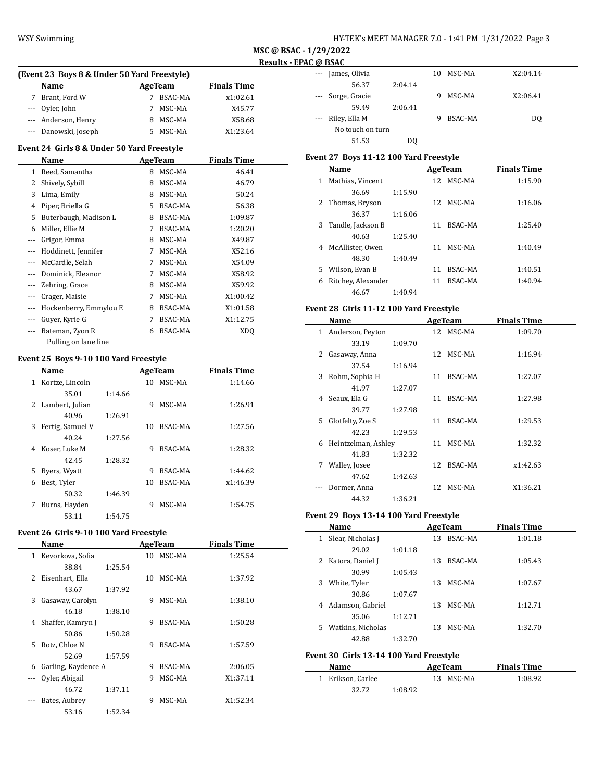| HY-TEK's MEET MANAGER 7.0 - 1:41 PM 1/31/2022 Page 3 |  |  |  |
|------------------------------------------------------|--|--|--|
|------------------------------------------------------|--|--|--|

| (Event 23 Boys 8 & Under 50 Yard Freestyle) |                      |   |         |                    |  |  |  |  |
|---------------------------------------------|----------------------|---|---------|--------------------|--|--|--|--|
|                                             | <b>Name</b>          |   | AgeTeam | <b>Finals Time</b> |  |  |  |  |
| 7                                           | Brant, Ford W        |   | BSAC-MA | x1:02.61           |  |  |  |  |
|                                             | --- Oyler, John      | 7 | MSC-MA  | X45.77             |  |  |  |  |
|                                             | --- Anderson, Henry  |   | MSC-MA  | X58.68             |  |  |  |  |
|                                             | --- Danowski, Joseph |   | MSC-MA  | X1:23.64           |  |  |  |  |

### **Event 24 Girls 8 & Under 50 Yard Freestyle**

|       | Name                   |    | <b>AgeTeam</b> | <b>Finals Time</b> |  |  |
|-------|------------------------|----|----------------|--------------------|--|--|
| 1     | Reed, Samantha         | 8  | MSC-MA         | 46.41              |  |  |
| 2     | Shively, Sybill        | 8  | MSC-MA         | 46.79              |  |  |
| 3     | Lima, Emily            | 8  | MSC-MA         | 50.24              |  |  |
| 4     | Piper, Briella G       | 5. | <b>BSAC-MA</b> | 56.38              |  |  |
| 5     | Buterbaugh, Madison L  | 8  | BSAC-MA        | 1:09.87            |  |  |
| 6     | Miller, Ellie M        | 7  | BSAC-MA        | 1:20.20            |  |  |
| ---   | Grigor, Emma           | 8  | MSC-MA         | X49.87             |  |  |
| $---$ | Hoddinett, Jennifer    | 7  | MSC-MA         | X52.16             |  |  |
| ---   | McCardle, Selah        | 7  | MSC-MA         | X54.09             |  |  |
| $---$ | Dominick, Eleanor      | 7  | MSC-MA         | X58.92             |  |  |
|       | Zehring, Grace         | 8  | MSC-MA         | X59.92             |  |  |
| ---   | Crager, Maisie         | 7  | MSC-MA         | X1:00.42           |  |  |
| $---$ | Hockenberry, Emmylou E | 8  | BSAC-MA        | X1:01.58           |  |  |
| $---$ | Guver, Kyrie G         | 7  | BSAC-MA        | X1:12.75           |  |  |
|       | Bateman, Zyon R        | 6  | BSAC-MA        | XD <sub>0</sub>    |  |  |
|       | Pulling on lane line   |    |                |                    |  |  |

#### **Event 25 Boys 9-10 100 Yard Freestyle**

L,

 $\overline{\phantom{a}}$ 

|   | Name             |         |    | AgeTeam | <b>Finals Time</b> |  |
|---|------------------|---------|----|---------|--------------------|--|
| 1 | Kortze, Lincoln  |         | 10 | MSC-MA  | 1:14.66            |  |
|   | 35.01            | 1:14.66 |    |         |                    |  |
| 2 | Lambert, Julian  |         | 9  | MSC-MA  | 1:26.91            |  |
|   | 40.96            | 1:26.91 |    |         |                    |  |
| 3 | Fertig, Samuel V |         | 10 | BSAC-MA | 1:27.56            |  |
|   | 40.24            | 1:27.56 |    |         |                    |  |
| 4 | Koser, Luke M    |         | 9  | BSAC-MA | 1:28.32            |  |
|   | 42.45            | 1:28.32 |    |         |                    |  |
| 5 | Byers, Wyatt     |         | 9  | BSAC-MA | 1:44.62            |  |
| 6 | Best, Tyler      |         | 10 | BSAC-MA | x1:46.39           |  |
|   | 50.32            | 1:46.39 |    |         |                    |  |
| 7 | Burns, Hayden    |         | 9  | MSC-MA  | 1:54.75            |  |
|   | 53.11            | 1:54.75 |    |         |                    |  |

# **Event 26 Girls 9-10 100 Yard Freestyle**

|    | Name                |         |    | AgeTeam        | <b>Finals Time</b> |
|----|---------------------|---------|----|----------------|--------------------|
| 1. | Kevorkova, Sofia    |         | 10 | MSC-MA         | 1:25.54            |
|    | 38.84               | 1:25.54 |    |                |                    |
| 2  | Eisenhart, Ella     |         | 10 | MSC-MA         | 1:37.92            |
|    | 43.67               | 1:37.92 |    |                |                    |
| 3  | Gasaway, Carolyn    |         | 9  | MSC-MA         | 1:38.10            |
|    | 46.18               | 1:38.10 |    |                |                    |
| 4  | Shaffer, Kamryn J   |         | 9  | BSAC-MA        | 1:50.28            |
|    | 50.86               | 1:50.28 |    |                |                    |
| 5. | Rotz, Chloe N       |         | 9  | BSAC-MA        | 1:57.59            |
|    | 52.69               | 1:57.59 |    |                |                    |
| 6  | Garling, Kaydence A |         | 9  | <b>BSAC-MA</b> | 2:06.05            |
|    | Oyler, Abigail      |         | 9  | MSC-MA         | X1:37.11           |
|    | 46.72               | 1:37.11 |    |                |                    |
|    | Bates, Aubrey       |         | 9  | MSC-MA         | X1:52.34           |
|    | 53.16               | 1:52.34 |    |                |                    |

|                      | טנזטע ש           |         |    |         |          |  |
|----------------------|-------------------|---------|----|---------|----------|--|
| $\sim$ $\sim$ $\sim$ | James, Olivia     |         | 10 | MSC-MA  | X2:04.14 |  |
|                      | 56.37             | 2:04.14 |    |         |          |  |
|                      | --- Sorge, Gracie |         | 9  | MSC-MA  | X2:06.41 |  |
|                      | 59.49             | 2:06.41 |    |         |          |  |
|                      | --- Riley, Ella M |         | 9  | BSAC-MA | DQ       |  |
|                      | No touch on turn  |         |    |         |          |  |
|                      | 51.53             | D0      |    |         |          |  |

# **Event 27 Boys 11-12 100 Yard Freestyle**

| Name                    |         |     | AgeTeam   | <b>Finals Time</b> |
|-------------------------|---------|-----|-----------|--------------------|
| Mathias, Vincent<br>1   |         |     | 12 MSC-MA | 1:15.90            |
| 36.69                   | 1:15.90 |     |           |                    |
| 2 Thomas, Bryson        |         | 12. | MSC-MA    | 1:16.06            |
| 36.37                   | 1:16.06 |     |           |                    |
| 3<br>Tandle, Jackson B  |         | 11  | BSAC-MA   | 1:25.40            |
| 40.63                   | 1:25.40 |     |           |                    |
| McAllister. Owen<br>4   |         | 11  | MSC-MA    | 1:40.49            |
| 48.30                   | 1:40.49 |     |           |                    |
| 5<br>Wilson, Evan B     |         | 11  | BSAC-MA   | 1:40.51            |
| Ritchey, Alexander<br>6 |         | 11  | BSAC-MA   | 1:40.94            |
| 46.67                   | 1:40.94 |     |           |                    |

### **Event 28 Girls 11-12 100 Yard Freestyle**

|              | Name                  |         |    | AgeTeam        | <b>Finals Time</b> |  |
|--------------|-----------------------|---------|----|----------------|--------------------|--|
|              | 1 Anderson, Peyton    |         |    | 12 MSC-MA      | 1:09.70            |  |
|              | 33.19                 | 1:09.70 |    |                |                    |  |
| $\mathbf{Z}$ | Gasaway, Anna         |         | 12 | MSC-MA         | 1:16.94            |  |
|              | 37.54                 | 1:16.94 |    |                |                    |  |
| 3            | Rohm, Sophia H        |         | 11 | BSAC-MA        | 1:27.07            |  |
|              | 41.97                 | 1:27.07 |    |                |                    |  |
|              | 4 Seaux, Ela G        |         | 11 | BSAC-MA        | 1:27.98            |  |
|              | 39.77                 | 1:27.98 |    |                |                    |  |
|              | 5 Glotfelty, Zoe S    |         | 11 | BSAC-MA        | 1:29.53            |  |
|              | 42.23                 | 1:29.53 |    |                |                    |  |
|              | 6 Heintzelman, Ashley |         | 11 | MSC-MA         | 1:32.32            |  |
|              | 41.83                 | 1:32.32 |    |                |                    |  |
| 7            | Walley, Josee         |         | 12 | <b>BSAC-MA</b> | x1:42.63           |  |
|              | 47.62                 | 1:42.63 |    |                |                    |  |
|              | Dormer, Anna          |         | 12 | MSC-MA         | X1:36.21           |  |
|              | 44.32                 | 1:36.21 |    |                |                    |  |

### **Event 29 Boys 13-14 100 Yard Freestyle**

|   | Name              |         |    | AgeTeam | <b>Finals Time</b> |  |
|---|-------------------|---------|----|---------|--------------------|--|
| 1 | Slear, Nicholas J |         | 13 | BSAC-MA | 1:01.18            |  |
|   | 29.02             | 1:01.18 |    |         |                    |  |
| 2 | Katora, Daniel J  |         | 13 | BSAC-MA | 1:05.43            |  |
|   | 30.99             | 1:05.43 |    |         |                    |  |
| 3 | White, Tyler      |         | 13 | MSC-MA  | 1:07.67            |  |
|   | 30.86             | 1:07.67 |    |         |                    |  |
| 4 | Adamson, Gabriel  |         | 13 | MSC-MA  | 1:12.71            |  |
|   | 35.06             | 1:12.71 |    |         |                    |  |
| 5 | Watkins, Nicholas |         | 13 | MSC-MA  | 1:32.70            |  |
|   | 42.88             | 1:32.70 |    |         |                    |  |
|   |                   |         |    |         |                    |  |

# **Event 30 Girls 13-14 100 Yard Freestyle**

| Name              |         | AgeTeam   | <b>Finals Time</b> |  |  |
|-------------------|---------|-----------|--------------------|--|--|
| 1 Erikson, Carlee |         | 13 MSC-MA | 1:08.92            |  |  |
| 32.72             | 1:08.92 |           |                    |  |  |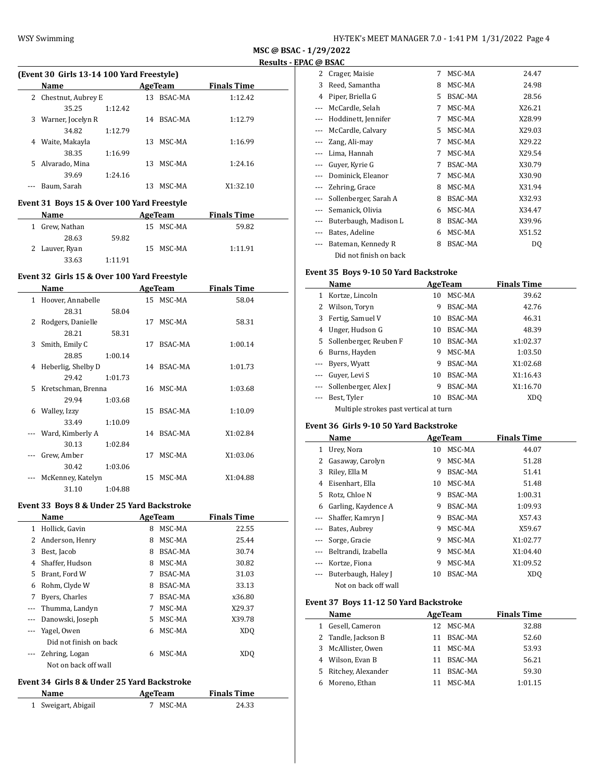| HY-TEK's MEET MANAGER 7.0 - 1:41 PM 1/31/2022 Page 4 |  |  |  |
|------------------------------------------------------|--|--|--|
|------------------------------------------------------|--|--|--|

| MSC @ BSAC - 1/29/2022 |
|------------------------|
| Results - EPAC @ BSAC  |
|                        |

 $\overline{\phantom{a}}$ 

| (Event 30 Girls 13-14 100 Yard Freestyle) |                      |         |     |         |                    |
|-------------------------------------------|----------------------|---------|-----|---------|--------------------|
|                                           | <b>Name</b>          |         |     | AgeTeam | <b>Finals Time</b> |
|                                           | 2 Chestnut, Aubrey E |         | 13  | BSAC-MA | 1:12.42            |
|                                           | 35.25                | 1:12.42 |     |         |                    |
|                                           | 3 Warner, Jocelyn R  |         | 14  | BSAC-MA | 1:12.79            |
|                                           | 34.82                | 1:12.79 |     |         |                    |
| 4                                         | Waite, Makayla       |         | 13. | MSC-MA  | 1:16.99            |
|                                           | 38.35                | 1:16.99 |     |         |                    |
|                                           | 5 Alvarado, Mina     |         | 13  | MSC-MA  | 1:24.16            |
|                                           | 39.69                | 1:24.16 |     |         |                    |

--- Baum, Sarah 13 MSC-MA X1:32.10

### **Event 31 Boys 15 & Over 100 Yard Freestyle**

| <b>Name</b>    |         | AgeTeam   | <b>Finals Time</b> |  |
|----------------|---------|-----------|--------------------|--|
| 1 Grew, Nathan |         | 15 MSC-MA | 59.82              |  |
| 28.63          | 59.82   |           |                    |  |
| 2 Lauver, Ryan |         | 15 MSC-MA | 1:11.91            |  |
| 33.63          | 1:11.91 |           |                    |  |

### **Event 32 Girls 15 & Over 100 Yard Freestyle**

|    | Name               |         |    | AgeTeam        | <b>Finals Time</b> |  |
|----|--------------------|---------|----|----------------|--------------------|--|
| 1  | Hoover, Annabelle  |         |    | 15 MSC-MA      | 58.04              |  |
|    | 28.31              | 58.04   |    |                |                    |  |
| 2  | Rodgers, Danielle  |         | 17 | MSC-MA         | 58.31              |  |
|    | 28.21              | 58.31   |    |                |                    |  |
| 3  | Smith, Emily C     |         | 17 | <b>BSAC-MA</b> | 1:00.14            |  |
|    | 28.85              | 1:00.14 |    |                |                    |  |
| 4  | Heberlig, Shelby D |         |    | 14 BSAC-MA     | 1:01.73            |  |
|    | 29.42              | 1:01.73 |    |                |                    |  |
| 5. | Kretschman, Brenna |         | 16 | MSC-MA         | 1:03.68            |  |
|    | 29.94              | 1:03.68 |    |                |                    |  |
| 6  | Walley, Izzy       |         | 15 | BSAC-MA        | 1:10.09            |  |
|    | 33.49              | 1:10.09 |    |                |                    |  |
|    | Ward, Kimberly A   |         | 14 | BSAC-MA        | X1:02.84           |  |
|    | 30.13              | 1:02.84 |    |                |                    |  |
|    | Grew, Amber        |         | 17 | MSC-MA         | X1:03.06           |  |
|    | 30.42              | 1:03.06 |    |                |                    |  |
|    | McKenney, Katelyn  |         | 15 | MSC-MA         | X1:04.88           |  |
|    | 31.10              | 1:04.88 |    |                |                    |  |
|    |                    |         |    |                |                    |  |

### **Event 33 Boys 8 & Under 25 Yard Backstroke**

|          | Name                   | AgeTeam |                | <b>Finals Time</b> |  |
|----------|------------------------|---------|----------------|--------------------|--|
| 1        | Hollick, Gavin         | 8       | MSC-MA         | 22.55              |  |
| 2        | Anderson, Henry        | 8       | MSC-MA         | 25.44              |  |
| 3        | Best, Jacob            | 8       | <b>BSAC-MA</b> | 30.74              |  |
| 4        | Shaffer, Hudson        | 8       | MSC-MA         | 30.82              |  |
| 5        | Brant, Ford W          | 7       | BSAC-MA        | 31.03              |  |
| 6        | Rohm, Clyde W          | 8       | BSAC-MA        | 33.13              |  |
| 7        | Byers, Charles         | 7       | <b>BSAC-MA</b> | x36.80             |  |
|          | Thumma, Landyn         | 7       | MSC-MA         | X29.37             |  |
| $\cdots$ | Danowski, Joseph       | 5.      | MSC-MA         | X39.78             |  |
|          | Yagel, Owen            | 6       | MSC-MA         | XD <sub>O</sub>    |  |
|          | Did not finish on back |         |                |                    |  |
|          | Zehring, Logan         | 6       | MSC-MA         | XDO                |  |
|          | Not on back off wall   |         |                |                    |  |

#### **Event 34 Girls 8 & Under 25 Yard Backstroke**

 $\overline{a}$ 

| Name                | AgeTeam  | <b>Finals Time</b> |
|---------------------|----------|--------------------|
| 1 Sweigart, Abigail | 7 MSC-MA | 24.33              |

|                          | ດ ພັນດາ                |   |         |        |
|--------------------------|------------------------|---|---------|--------|
| 2                        | Crager, Maisie         | 7 | MSC-MA  | 24.47  |
| 3                        | Reed, Samantha         | 8 | MSC-MA  | 24.98  |
| 4                        | Piper, Briella G       | 5 | BSAC-MA | 28.56  |
|                          | McCardle, Selah        | 7 | MSC-MA  | X26.21 |
| $---$                    | Hoddinett, Jennifer    | 7 | MSC-MA  | X28.99 |
| $- - -$                  | McCardle, Calvary      | 5 | MSC-MA  | X29.03 |
|                          | Zang, Ali-may          | 7 | MSC-MA  | X29.22 |
| ---                      | Lima, Hannah           | 7 | MSC-MA  | X29.54 |
|                          | Guyer, Kyrie G         | 7 | BSAC-MA | X30.79 |
|                          | Dominick, Eleanor      | 7 | MSC-MA  | X30.90 |
| $\overline{\phantom{a}}$ | Zehring, Grace         | 8 | MSC-MA  | X31.94 |
| $- - -$                  | Sollenberger, Sarah A  | 8 | BSAC-MA | X32.93 |
| ---                      | Semanick, Olivia       | 6 | MSC-MA  | X34.47 |
| ---                      | Buterbaugh, Madison L  | 8 | BSAC-MA | X39.96 |
| ---                      | Bates, Adeline         | 6 | MSC-MA  | X51.52 |
| $---$                    | Bateman, Kennedy R     | 8 | BSAC-MA | DQ     |
|                          | Did not finish on back |   |         |        |

### **Event 35 Boys 9-10 50 Yard Backstroke**

|   | Name                                   |    | AgeTeam        | <b>Finals Time</b> |  |  |  |  |
|---|----------------------------------------|----|----------------|--------------------|--|--|--|--|
| 1 | Kortze, Lincoln                        | 10 | MSC-MA         | 39.62              |  |  |  |  |
| 2 | Wilson, Toryn                          | 9  | BSAC-MA        | 42.76              |  |  |  |  |
| 3 | Fertig, Samuel V                       | 10 | BSAC-MA        | 46.31              |  |  |  |  |
| 4 | Unger, Hudson G                        | 10 | BSAC-MA        | 48.39              |  |  |  |  |
| 5 | Sollenberger, Reuben F                 | 10 | BSAC-MA        | x1:02.37           |  |  |  |  |
| 6 | Burns, Hayden                          | 9  | MSC-MA         | 1:03.50            |  |  |  |  |
|   | Byers, Wyatt                           | 9  | <b>BSAC-MA</b> | X1:02.68           |  |  |  |  |
|   | Guyer, Levi S                          | 10 | BSAC-MA        | X1:16.43           |  |  |  |  |
|   | Sollenberger, Alex J                   | 9  | <b>BSAC-MA</b> | X1:16.70           |  |  |  |  |
|   | Best, Tyler                            | 10 | BSAC-MA        | XDO                |  |  |  |  |
|   | Multiple strokes past vertical at turn |    |                |                    |  |  |  |  |

#### **Event 36 Girls 9-10 50 Yard Backstroke**

|                          | Name                 |    | AgeTeam        | <b>Finals Time</b> |  |
|--------------------------|----------------------|----|----------------|--------------------|--|
| 1                        | Urey, Nora           | 10 | MSC-MA         | 44.07              |  |
| 2                        | Gasaway, Carolyn     | 9  | MSC-MA         | 51.28              |  |
| 3                        | Riley, Ella M        | 9  | <b>BSAC-MA</b> | 51.41              |  |
| 4                        | Eisenhart, Ella      | 10 | MSC-MA         | 51.48              |  |
| 5.                       | Rotz, Chloe N        | 9  | BSAC-MA        | 1:00.31            |  |
| 6                        | Garling, Kaydence A  | 9  | BSAC-MA        | 1:09.93            |  |
| $\cdots$                 | Shaffer, Kamryn J    | 9  | BSAC-MA        | X57.43             |  |
| $---$                    | Bates, Aubrey        | 9  | MSC-MA         | X59.67             |  |
| $\overline{\phantom{a}}$ | Sorge, Gracie        | 9  | MSC-MA         | X1:02.77           |  |
|                          | Beltrandi, Izabella  | 9  | MSC-MA         | X1:04.40           |  |
| $---$                    | Kortze, Fiona        | 9  | MSC-MA         | X1:09.52           |  |
|                          | Buterbaugh, Haley J  | 10 | BSAC-MA        | XD <sub>O</sub>    |  |
|                          | Not on back off wall |    |                |                    |  |

## **Event 37 Boys 11-12 50 Yard Backstroke**

|              | Name                 | AgeTeam |           | <b>Finals Time</b> |
|--------------|----------------------|---------|-----------|--------------------|
| $\mathbf{1}$ | Gesell, Cameron      |         | 12 MSC-MA | 32.88              |
|              | 2 Tandle, Jackson B  | 11      | BSAC-MA   | 52.60              |
|              | 3 McAllister, Owen   |         | 11 MSC-MA | 53.93              |
|              | 4 Wilson, Evan B     | 11      | BSAC-MA   | 56.21              |
|              | 5 Ritchey, Alexander | 11      | BSAC-MA   | 59.30              |
|              | 6 Moreno, Ethan      |         | MSC-MA    | 1:01.15            |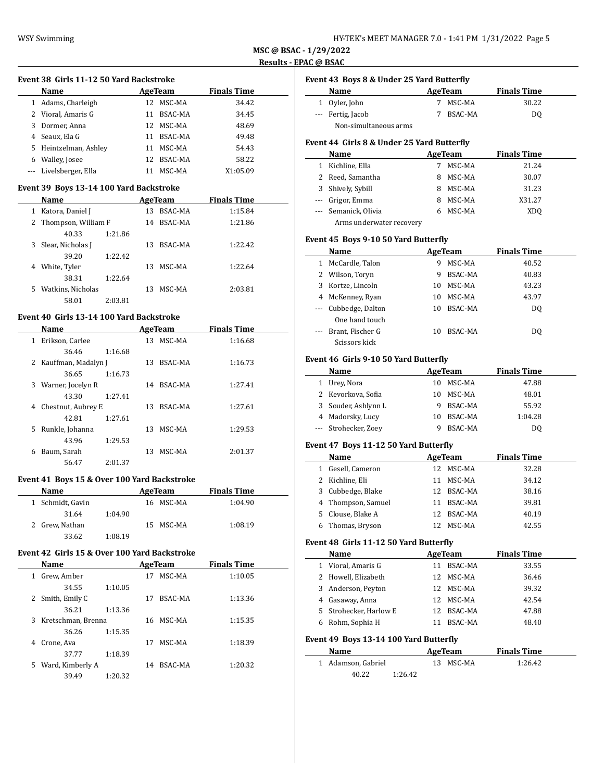| HY-TEK's MEET MANAGER 7.0 - 1:41 PM 1/31/2022 Page 5 |  |  |  |  |  |
|------------------------------------------------------|--|--|--|--|--|
|------------------------------------------------------|--|--|--|--|--|

 $\frac{1}{2}$ 

 $\frac{1}{2}$ 

#### **Event 38 Girls 11-12 50 Yard Backstroke**

|   | Name                  | AgeTeam |           | <b>Finals Time</b> |  |  |  |
|---|-----------------------|---------|-----------|--------------------|--|--|--|
|   | 1 Adams, Charleigh    |         | 12 MSC-MA | 34.42              |  |  |  |
|   | 2 Vioral, Amaris G    | 11      | BSAC-MA   | 34.45              |  |  |  |
|   | 3 Dormer, Anna        |         | 12 MSC-MA | 48.69              |  |  |  |
| 4 | Seaux, Ela G          | 11      | BSAC-MA   | 49.48              |  |  |  |
|   | 5 Heintzelman, Ashley | 11      | MSC-MA    | 54.43              |  |  |  |
| 6 | Walley, Josee         | 12.     | BSAC-MA   | 58.22              |  |  |  |
|   | Livelsberger, Ella    |         | MSC-MA    | X1:05.09           |  |  |  |
|   |                       |         |           |                    |  |  |  |

#### **Event 39 Boys 13-14 100 Yard Backstroke**

|    | Name                  |         |    | AgeTeam | <b>Finals Time</b> |  |
|----|-----------------------|---------|----|---------|--------------------|--|
| 1  | Katora, Daniel J      |         | 13 | BSAC-MA | 1:15.84            |  |
|    | 2 Thompson, William F |         | 14 | BSAC-MA | 1:21.86            |  |
|    | 40.33                 | 1:21.86 |    |         |                    |  |
| 3  | Slear, Nicholas J     |         | 13 | BSAC-MA | 1:22.42            |  |
|    | 39.20                 | 1:22.42 |    |         |                    |  |
| 4  | White, Tyler          |         | 13 | MSC-MA  | 1:22.64            |  |
|    | 38.31                 | 1:22.64 |    |         |                    |  |
| 5. | Watkins, Nicholas     |         | 13 | MSC-MA  | 2:03.81            |  |
|    | 58.01                 | 2:03.81 |    |         |                    |  |

### **Event 40 Girls 13-14 100 Yard Backstroke**

|   | Name                  |         |    | AgeTeam    | <b>Finals Time</b> |  |
|---|-----------------------|---------|----|------------|--------------------|--|
| 1 | Erikson, Carlee       |         | 13 | MSC-MA     | 1:16.68            |  |
|   | 36.46                 | 1:16.68 |    |            |                    |  |
|   | 2 Kauffman, Madalyn J |         | 13 | BSAC-MA    | 1:16.73            |  |
|   | 36.65                 | 1:16.73 |    |            |                    |  |
| 3 | Warner, Jocelyn R     |         |    | 14 BSAC-MA | 1:27.41            |  |
|   | 43.30                 | 1:27.41 |    |            |                    |  |
| 4 | Chestnut, Aubrey E    |         | 13 | BSAC-MA    | 1:27.61            |  |
|   | 42.81                 | 1:27.61 |    |            |                    |  |
| 5 | Runkle, Johanna       |         | 13 | MSC-MA     | 1:29.53            |  |
|   | 43.96                 | 1:29.53 |    |            |                    |  |
| 6 | Baum, Sarah           |         | 13 | MSC-MA     | 2:01.37            |  |
|   | 56.47                 | 2:01.37 |    |            |                    |  |

### **Event 41 Boys 15 & Over 100 Yard Backstroke**

| <b>Name</b>      | AgeTeam | <b>Finals Time</b> |         |  |
|------------------|---------|--------------------|---------|--|
| 1 Schmidt, Gavin |         | 16 MSC-MA          | 1:04.90 |  |
| 31.64            | 1:04.90 |                    |         |  |
| 2 Grew, Nathan   |         | 15 MSC-MA          | 1:08.19 |  |
| 33.62            | 1:08.19 |                    |         |  |

#### **Event 42 Girls 15 & Over 100 Yard Backstroke**

|    | Name               | AgeTeam |    |         | <b>Finals Time</b> |
|----|--------------------|---------|----|---------|--------------------|
| 1  | Grew, Amber        |         | 17 | MSC-MA  | 1:10.05            |
|    | 34.55              | 1:10.05 |    |         |                    |
| 2  | Smith, Emily C     |         | 17 | BSAC-MA | 1:13.36            |
|    | 36.21              | 1:13.36 |    |         |                    |
| 3  | Kretschman, Brenna |         | 16 | MSC-MA  | 1:15.35            |
|    | 36.26              | 1:15.35 |    |         |                    |
| 4  | Crone, Ava         |         | 17 | MSC-MA  | 1:18.39            |
|    | 37.77              | 1:18.39 |    |         |                    |
| 5. | Ward, Kimberly A   |         | 14 | BSAC-MA | 1:20.32            |
|    | 39.49              | 1:20.32 |    |         |                    |

# **Event 43 Boys 8 & Under 25 Yard Butterfly**

| Name                  | AgeTeam   | <b>Finals Time</b> |
|-----------------------|-----------|--------------------|
| 1 Oyler, John         | 7 MSC-MA  | 30.22              |
| --- Fertig, Jacob     | 7 BSAC-MA | DO                 |
| Non-simultaneous arms |           |                    |

### **Event 44 Girls 8 & Under 25 Yard Butterfly**

|   | Name                     |  | AgeTeam | <b>Finals Time</b> |  |
|---|--------------------------|--|---------|--------------------|--|
| 1 | Kichline, Ella           |  | MSC-MA  | 21.24              |  |
|   | 2 Reed, Samantha         |  | MSC-MA  | 30.07              |  |
|   | 3 Shively, Sybill        |  | MSC-MA  | 31.23              |  |
|   | --- Grigor, Emma         |  | MSC-MA  | X31.27             |  |
|   | --- Semanick, Olivia     |  | MSC-MA  | XD <sub>0</sub>    |  |
|   | Arms underwater recovery |  |         |                    |  |

#### **Event 45 Boys 9-10 50 Yard Butterfly**

|   | Name                 |    | AgeTeam | <b>Finals Time</b> |
|---|----------------------|----|---------|--------------------|
| 1 | McCardle, Talon      | 9  | MSC-MA  | 40.52              |
|   | 2 Wilson, Toryn      | 9  | BSAC-MA | 40.83              |
|   | 3 Kortze, Lincoln    | 10 | MSC-MA  | 43.23              |
|   | 4 McKenney, Ryan     | 10 | MSC-MA  | 43.97              |
|   | --- Cubbedge, Dalton | 10 | BSAC-MA | DO                 |
|   | One hand touch       |    |         |                    |
|   | Brant, Fischer G     | 10 | BSAC-MA | DO                 |
|   | Scissors kick        |    |         |                    |

#### **Event 46 Girls 9-10 50 Yard Butterfly**

| Name                 | AgeTeam |           | <b>Finals Time</b> |
|----------------------|---------|-----------|--------------------|
| Urey, Nora           |         | 10 MSC-MA | 47.88              |
| 2 Kevorkova, Sofia   | 10      | MSC-MA    | 48.01              |
| 3 Souder, Ashlynn L  | 9       | BSAC-MA   | 55.92              |
| 4 Madorsky, Lucy     | 10      | BSAC-MA   | 1:04.28            |
| --- Strohecker, Zoev |         | BSAC-MA   | DO                 |

### **Event 47 Boys 11-12 50 Yard Butterfly**

|   | Name               |     | AgeTeam    | <b>Finals Time</b> |
|---|--------------------|-----|------------|--------------------|
|   | Gesell, Cameron    | 12. | MSC-MA     | 32.28              |
|   | 2 Kichline. Eli    | 11  | MSC-MA     | 34.12              |
|   | 3 Cubbedge, Blake  |     | 12 BSAC-MA | 38.16              |
|   | 4 Thompson, Samuel | 11  | BSAC-MA    | 39.81              |
|   | 5 Clouse, Blake A  |     | 12 BSAC-MA | 40.19              |
| 6 | Thomas, Bryson     |     | MSC-MA     | 42.55              |

### **Event 48 Girls 11-12 50 Yard Butterfly**

| Name                   |    | AgeTeam        | <b>Finals Time</b> |  |
|------------------------|----|----------------|--------------------|--|
| 1 Vioral, Amaris G     | 11 | BSAC-MA        | 33.55              |  |
| 2 Howell, Elizabeth    |    | 12 MSC-MA      | 36.46              |  |
| 3 Anderson, Peyton     |    | 12 MSC-MA      | 39.32              |  |
| 4 Gasaway, Anna        |    | 12 MSC-MA      | 42.54              |  |
| 5 Strohecker, Harlow E |    | 12 BSAC-MA     | 47.88              |  |
| Rohm, Sophia H         |    | <b>BSAC-MA</b> | 48.40              |  |

#### **Event 49 Boys 13-14 100 Yard Butterfly**

| <b>Name</b>        | AgeTeam   | <b>Finals Time</b> |  |
|--------------------|-----------|--------------------|--|
| 1 Adamson, Gabriel | 13 MSC-MA | 1:26.42            |  |
| 40.22              | 1:26.42   |                    |  |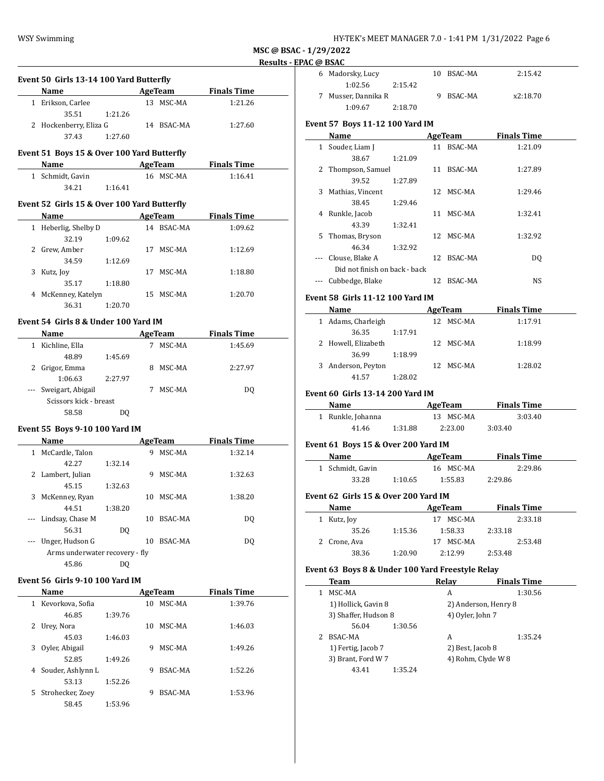| HY-TEK's MEET MANAGER 7.0 - 1:41 PM 1/31/2022 Page 6 |  |  |  |
|------------------------------------------------------|--|--|--|
|------------------------------------------------------|--|--|--|

 $\sim$ 

|           | Event 50 Girls 13-14 100 Yard Butterfly                                                                                      |         |    |                |                     |  |
|-----------|------------------------------------------------------------------------------------------------------------------------------|---------|----|----------------|---------------------|--|
|           | Name AgeTeam Finals Time                                                                                                     |         |    |                |                     |  |
|           | 1 Erikson, Carlee                                                                                                            |         |    | 13 MSC-MA      | 1:21.26             |  |
|           | 35.51                                                                                                                        | 1:21.26 |    |                |                     |  |
|           | 2 Hockenberry, Eliza G 14 BSAC-MA                                                                                            |         |    |                | 1:27.60             |  |
|           | 37.43                                                                                                                        | 1:27.60 |    |                |                     |  |
|           | Event 51 Boys 15 & Over 100 Yard Butterfly                                                                                   |         |    |                |                     |  |
|           |                                                                                                                              |         |    | AgeTeam        | <b>Finals Time</b>  |  |
|           | 1 Schmidt, Gavin                                                                                                             |         |    | 16 MSC-MA      | 1:16.41             |  |
|           | 34.21                                                                                                                        | 1:16.41 |    |                |                     |  |
|           |                                                                                                                              |         |    |                |                     |  |
|           | Event 52 Girls 15 & Over 100 Yard Butterfly                                                                                  |         |    |                |                     |  |
|           | Name                                                                                                                         |         |    | AgeTeam        | <b>Finals Time</b>  |  |
|           | 1 Heberlig, Shelby D                                                                                                         |         |    | 14 BSAC-MA     | 1:09.62             |  |
|           | 32.19                                                                                                                        | 1:09.62 |    |                |                     |  |
|           | 2 Grew, Amber                                                                                                                |         |    | 17 MSC-MA      | 1:12.69             |  |
|           | 34.59                                                                                                                        | 1:12.69 |    |                |                     |  |
|           | 3 Kutz, Joy                                                                                                                  |         |    | 17 MSC-MA      | 1:18.80             |  |
|           | 35.17                                                                                                                        | 1:18.80 |    |                |                     |  |
|           | 4 McKenney, Katelyn                                                                                                          |         |    | 15 MSC-MA      | 1:20.70             |  |
|           | 36.31                                                                                                                        | 1:20.70 |    |                |                     |  |
|           | Event 54 Girls 8 & Under 100 Yard IM                                                                                         |         |    |                |                     |  |
|           | Name<br><u> 1990 - Johann Barbara, politik eta politik eta politik eta politik eta politik eta politik eta politik eta p</u> |         |    |                | AgeTeam Finals Time |  |
|           | 1 Kichline, Ella                                                                                                             |         |    | 7 MSC-MA       | 1:45.69             |  |
|           | 48.89                                                                                                                        | 1:45.69 |    |                |                     |  |
|           | 2 Grigor, Emma                                                                                                               |         |    | 8 MSC-MA       | 2:27.97             |  |
|           | 1:06.63                                                                                                                      | 2:27.97 |    |                |                     |  |
|           | --- Sweigart, Abigail                                                                                                        |         |    | 7 MSC-MA       | DQ                  |  |
|           | Scissors kick - breast                                                                                                       |         |    |                |                     |  |
|           | 58.58                                                                                                                        | DQ      |    |                |                     |  |
|           |                                                                                                                              |         |    |                |                     |  |
|           | Event 55 Boys 9-10 100 Yard IM                                                                                               |         |    |                |                     |  |
|           | Name                                                                                                                         |         |    | <b>AgeTeam</b> | <b>Finals Time</b>  |  |
|           | 1 McCardle, Talon                                                                                                            |         |    | 9 MSC-MA       | 1:32.14             |  |
|           | 42.27                                                                                                                        | 1:32.14 |    |                |                     |  |
|           | 2 Lambert, Julian                                                                                                            |         |    | 9 MSC-MA       | 1:32.63             |  |
|           | 45.15                                                                                                                        | 1:32.63 |    |                |                     |  |
|           | 3 McKenney, Ryan                                                                                                             |         |    | 10 MSC-MA      | 1:38.20             |  |
|           | 44.51                                                                                                                        | 1:38.20 |    |                |                     |  |
|           | Lindsay, Chase M                                                                                                             |         |    | 10 BSAC-MA     | DQ                  |  |
|           | 56.31                                                                                                                        | DQ      |    |                |                     |  |
| $\cdots$  | Unger, Hudson G                                                                                                              |         |    | 10 BSAC-MA     | DQ                  |  |
|           | Arms underwater recovery - fly                                                                                               |         |    |                |                     |  |
|           | 45.86                                                                                                                        | DQ      |    |                |                     |  |
|           | Event 56 Girls 9-10 100 Yard IM                                                                                              |         |    |                |                     |  |
|           | Name                                                                                                                         |         |    | AgeTeam        | <b>Finals Time</b>  |  |
| $1 \quad$ | Kevorkova, Sofia                                                                                                             |         | 10 | MSC-MA         | 1:39.76             |  |
|           | 46.85                                                                                                                        | 1:39.76 |    |                |                     |  |

2 Urey, Nora 10 MSC-MA 1:46.03

3 Oyler, Abigail 9 MSC-MA 1:49.26

4 Souder, Ashlynn L 9 BSAC-MA 1:52.26

5 Strohecker, Zoey 9 BSAC-MA 1:53.96

45.03 1:46.03

52.85 1:49.26

53.13 1:52.26

58.45 1:53.96

| 6 Madorsky, Lucy  |         | 10 BSAC-MA | 2:15.42  |
|-------------------|---------|------------|----------|
| 1:02.56           | 2.15.42 |            |          |
| Musser, Dannika R |         | 9 BSAC-MA  | x2:18.70 |
| 1:09.67           | 2:18.70 |            |          |

### **Event 57 Boys 11-12 100 Yard IM**

|    | Name                          |         |    | AgeTeam   | <b>Finals Time</b> |  |
|----|-------------------------------|---------|----|-----------|--------------------|--|
|    | Souder, Liam J                |         | 11 | BSAC-MA   | 1:21.09            |  |
|    | 38.67                         | 1:21.09 |    |           |                    |  |
| 2  | Thompson, Samuel              |         | 11 | BSAC-MA   | 1:27.89            |  |
|    | 39.52                         | 1:27.89 |    |           |                    |  |
| 3  | Mathias, Vincent              |         |    | 12 MSC-MA | 1:29.46            |  |
|    | 38.45                         | 1:29.46 |    |           |                    |  |
| 4  | Runkle, Jacob                 |         | 11 | MSC-MA    | 1:32.41            |  |
|    | 43.39                         | 1:32.41 |    |           |                    |  |
| 5. | Thomas, Bryson                |         |    | 12 MSC-MA | 1:32.92            |  |
|    | 46.34                         | 1:32.92 |    |           |                    |  |
|    | Clouse, Blake A               |         | 12 | BSAC-MA   | D <sub>0</sub>     |  |
|    | Did not finish on back - back |         |    |           |                    |  |
|    | Cubbedge, Blake               |         | 12 | BSAC-MA   | <b>NS</b>          |  |

### **Event 58 Girls 11-12 100 Yard IM**

| Name                |         |     | AgeTeam   | <b>Finals Time</b> |  |
|---------------------|---------|-----|-----------|--------------------|--|
| Adams, Charleigh    |         | 12. | MSC-MA    | 1:17.91            |  |
| 36.35               | 1:17.91 |     |           |                    |  |
| 2 Howell, Elizabeth |         |     | 12 MSC-MA | 1:18.99            |  |
| 36.99               | 1:18.99 |     |           |                    |  |
| Anderson, Peyton    |         | 12. | MSC-MA    | 1:28.02            |  |
| 41.57               | 1:28.02 |     |           |                    |  |

#### **Event 60 Girls 13-14 200 Yard IM**

| Name              |         | AgeTeam   | <b>Finals Time</b> |  |
|-------------------|---------|-----------|--------------------|--|
| 1 Runkle, Johanna |         | 13 MSC-MA | 3:03.40            |  |
| 41.46             | 1:31.88 | 2:23.00   | 3:03.40            |  |

### **Event 61 Boys 15 & Over 200 Yard IM**

| <b>Name</b>      |         | AgeTeam   | <b>Finals Time</b> |  |
|------------------|---------|-----------|--------------------|--|
| 1 Schmidt, Gavin |         | 16 MSC-MA | 2:29.86            |  |
| 33.28            | 1:10.65 | 1:55.83   | 2:29.86            |  |

#### **Event 62 Girls 15 & Over 200 Yard IM**

| Name         |         | AgeTeam      | <b>Finals Time</b> |
|--------------|---------|--------------|--------------------|
| 1 Kutz, Joy  |         | MSC-MA       | 2:33.18            |
| 35.26        | 1:15.36 | 1:58.33      | 2:33.18            |
| 2 Crone, Ava |         | MSC-MA<br>17 | 2:53.48            |
| 38.36        | 1:20.90 | 2:12.99      | 2:53.48            |

#### **Event 63 Boys 8 & Under 100 Yard Freestyle Relay**

| Team                 | Relav            | <b>Finals Time</b>   |
|----------------------|------------------|----------------------|
| MSC-MA               | A                | 1:30.56              |
| 1) Hollick, Gavin 8  |                  | 2) Anderson, Henry 8 |
| 3) Shaffer, Hudson 8 | 4) Oyler, John 7 |                      |
| 56.04<br>1:30.56     |                  |                      |
| BSAC-MA              | A                | 1:35.24              |
| 1) Fertig, Jacob 7   | 2) Best, Jacob 8 |                      |
| 3) Brant, Ford W 7   |                  | 4) Rohm, Clyde W 8   |
| 1:35.24<br>43.41     |                  |                      |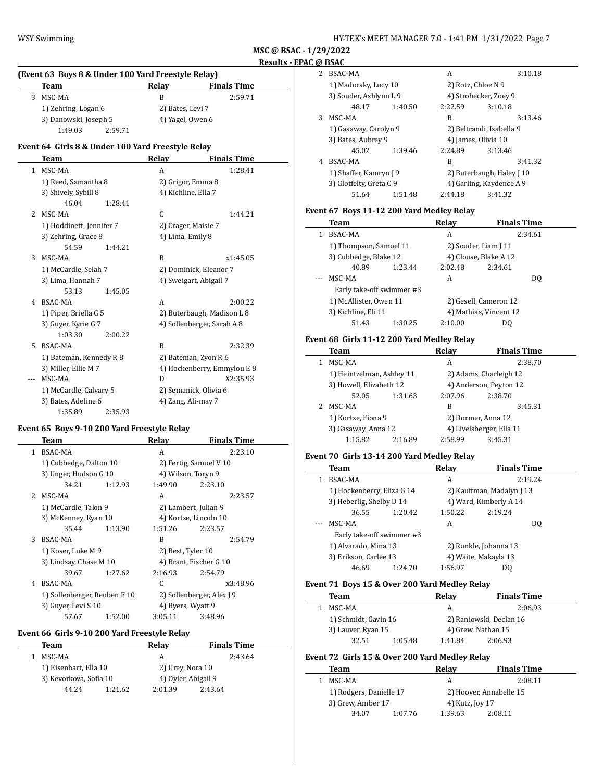|    | Team                                              |         | Relay               | <b>Finals Time</b>          |  |
|----|---------------------------------------------------|---------|---------------------|-----------------------------|--|
| 3  | MSC-MA                                            |         | B                   | 2:59.71                     |  |
|    | 1) Zehring, Logan 6                               |         | 2) Bates, Levi 7    |                             |  |
|    | 3) Danowski, Joseph 5                             |         | 4) Yagel, Owen 6    |                             |  |
|    | 1:49.03                                           | 2:59.71 |                     |                             |  |
|    | Event 64 Girls 8 & Under 100 Yard Freestyle Relay |         |                     |                             |  |
|    | <b>Team</b>                                       |         | Relay               | <b>Finals Time</b>          |  |
| 1  | MSC-MA                                            |         | A                   | 1:28.41                     |  |
|    | 1) Reed, Samantha 8                               |         |                     | 2) Grigor, Emma 8           |  |
|    | 3) Shively, Sybill 8                              |         | 4) Kichline, Ella 7 |                             |  |
|    | 46.04                                             | 1:28.41 |                     |                             |  |
| 2  | MSC-MA                                            |         | C                   | 1:44.21                     |  |
|    | 1) Hoddinett, Jennifer 7                          |         |                     | 2) Crager, Maisie 7         |  |
|    | 3) Zehring, Grace 8                               |         | 4) Lima, Emily 8    |                             |  |
|    | 54.59                                             | 1:44.21 |                     |                             |  |
| 3  | MSC-MA                                            |         | B                   | x1:45.05                    |  |
|    | 1) McCardle, Selah 7                              |         |                     | 2) Dominick, Eleanor 7      |  |
|    | 3) Lima, Hannah 7                                 |         |                     | 4) Sweigart, Abigail 7      |  |
|    | 53.13                                             | 1:45.05 |                     |                             |  |
| 4  | BSAC-MA                                           |         | A                   | 2:00.22                     |  |
|    | 1) Piper, Briella G 5                             |         |                     | 2) Buterbaugh, Madison L 8  |  |
|    | 3) Guyer, Kyrie G 7                               |         |                     | 4) Sollenberger, Sarah A 8  |  |
|    | 1:03.30                                           | 2:00.22 |                     |                             |  |
| 5. | <b>BSAC-MA</b>                                    |         | B                   | 2:32.39                     |  |
|    | 1) Bateman, Kennedy R 8                           |         |                     | 2) Bateman, Zyon R 6        |  |
|    | 3) Miller, Ellie M 7                              |         |                     | 4) Hockenberry, Emmylou E 8 |  |
|    | MSC-MA                                            |         | D                   | X2:35.93                    |  |
|    | 1) McCardle, Calvary 5                            |         |                     | 2) Semanick, Olivia 6       |  |
|    | 3) Bates, Adeline 6                               |         |                     | 4) Zang, Ali-may 7          |  |
|    | 1:35.89                                           | 2:35.93 |                     |                             |  |

# **Event 65 Boys 9-10 200 Yard Freestyle Relay**

 $\overline{a}$ 

|    | Team                         |         | Relav              | <b>Finals Time</b>        |
|----|------------------------------|---------|--------------------|---------------------------|
| 1  | <b>BSAC-MA</b>               |         | A                  | 2:23.10                   |
|    | 1) Cubbedge, Dalton 10       |         |                    | 2) Fertig, Samuel V 10    |
|    | 3) Unger, Hudson G 10        |         | 4) Wilson, Toryn 9 |                           |
|    | 34.21                        | 1:12.93 | 1:49.90            | 2:23.10                   |
| 2. | MSC-MA                       |         | A                  | 2:23.57                   |
|    | 1) McCardle, Talon 9         |         |                    | 2) Lambert, Julian 9      |
|    | 3) McKenney, Ryan 10         |         |                    | 4) Kortze, Lincoln 10     |
|    | 35.44                        | 1:13.90 | 1:51.26            | 2:23.57                   |
| 3  | BSAC-MA                      |         | B                  | 2:54.79                   |
|    | 1) Koser, Luke M 9           |         | 2) Best, Tyler 10  |                           |
|    | 3) Lindsay, Chase M 10       |         |                    | 4) Brant, Fischer G 10    |
|    | 39.67                        | 1:27.62 | 2:16.93            | 2:54.79                   |
| 4  | BSAC-MA                      |         | C.                 | x3:48.96                  |
|    | 1) Sollenberger, Reuben F 10 |         |                    | 2) Sollenberger, Alex J 9 |
|    | 3) Guyer, Levi S 10          |         | 4) Byers, Wyatt 9  |                           |
|    | 57.67                        | 1:52.00 | 3:05.11            | 3:48.96                   |

### **Event 66 Girls 9-10 200 Yard Freestyle Relay**

| Team                   |         | Relav               | <b>Finals Time</b> |
|------------------------|---------|---------------------|--------------------|
| MSC-MA                 |         | А                   | 2:43.64            |
| 1) Eisenhart, Ella 10  |         | 2) Urey, Nora 10    |                    |
| 3) Kevorkova, Sofia 10 |         | 4) Oyler, Abigail 9 |                    |
| 44.24                  | 1:21.62 | 2:01.39             | 2:43.64            |
|                        |         |                     |                    |

| BSAC-MA<br>2<br>A<br>1) Madorsky, Lucy 10<br>2) Rotz, Chloe N 9<br>3) Souder, Ashlynn L 9<br>4) Strohecker, Zoey 9<br>1:40.50<br>2:22.59<br>3:10.18<br>48.17<br>MSC-MA<br>R<br>3<br>1) Gasaway, Carolyn 9<br>2) Beltrandi, Izabella 9<br>3) Bates, Aubrey 9<br>4) James, Olivia 10<br>45.02<br>1:39.46<br>2:24.89<br>3:13.46<br>BSAC-MA<br>R<br>4<br>1) Shaffer, Kamryn J 9<br>2) Buterbaugh, Haley J 10<br>3) Glotfelty, Greta C 9<br>4) Garling, Kaydence A 9<br>1:51.48<br>51.64<br>3:41.32<br>2:44.18 |  |  |  |         |  |
|-----------------------------------------------------------------------------------------------------------------------------------------------------------------------------------------------------------------------------------------------------------------------------------------------------------------------------------------------------------------------------------------------------------------------------------------------------------------------------------------------------------|--|--|--|---------|--|
|                                                                                                                                                                                                                                                                                                                                                                                                                                                                                                           |  |  |  | 3:10.18 |  |
|                                                                                                                                                                                                                                                                                                                                                                                                                                                                                                           |  |  |  |         |  |
|                                                                                                                                                                                                                                                                                                                                                                                                                                                                                                           |  |  |  |         |  |
|                                                                                                                                                                                                                                                                                                                                                                                                                                                                                                           |  |  |  |         |  |
|                                                                                                                                                                                                                                                                                                                                                                                                                                                                                                           |  |  |  | 3:13.46 |  |
|                                                                                                                                                                                                                                                                                                                                                                                                                                                                                                           |  |  |  |         |  |
|                                                                                                                                                                                                                                                                                                                                                                                                                                                                                                           |  |  |  |         |  |
|                                                                                                                                                                                                                                                                                                                                                                                                                                                                                                           |  |  |  |         |  |
|                                                                                                                                                                                                                                                                                                                                                                                                                                                                                                           |  |  |  | 3:41.32 |  |
|                                                                                                                                                                                                                                                                                                                                                                                                                                                                                                           |  |  |  |         |  |
|                                                                                                                                                                                                                                                                                                                                                                                                                                                                                                           |  |  |  |         |  |
|                                                                                                                                                                                                                                                                                                                                                                                                                                                                                                           |  |  |  |         |  |

# **Event 67 Boys 11-12 200 Yard Medley Relay**

|  |   | Team                      |         | Relay   | <b>Finals Time</b>     |     |
|--|---|---------------------------|---------|---------|------------------------|-----|
|  | 1 | <b>BSAC-MA</b>            |         | A       | 2:34.61                |     |
|  |   | 1) Thompson, Samuel 11    |         |         | 2) Souder, Liam J 11   |     |
|  |   | 3) Cubbedge, Blake 12     |         |         | 4) Clouse, Blake A 12  |     |
|  |   | 40.89                     | 1:23.44 | 2:02.48 | 2:34.61                |     |
|  |   | MSC-MA                    |         | A       |                        | DO. |
|  |   | Early take-off swimmer #3 |         |         |                        |     |
|  |   | 1) McAllister, Owen 11    |         |         | 2) Gesell, Cameron 12  |     |
|  |   | 3) Kichline, Eli 11       |         |         | 4) Mathias, Vincent 12 |     |
|  |   | 51.43                     | 1:30.25 | 2:10.00 | DO                     |     |
|  |   |                           |         |         |                        |     |

# **Event 68 Girls 11-12 200 Yard Medley Relay**

| Team                      |         | Relav                  | <b>Finals Time</b>       |  |
|---------------------------|---------|------------------------|--------------------------|--|
| MSC-MA                    |         | A                      | 2:38.70                  |  |
| 1) Heintzelman, Ashley 11 |         | 2) Adams, Charleigh 12 |                          |  |
| 3) Howell, Elizabeth 12   |         |                        | 4) Anderson, Peyton 12   |  |
| 52.05                     | 1:31.63 | 2:07.96                | 2:38.70                  |  |
| MSC-MA                    |         | B                      | 3:45.31                  |  |
| 1) Kortze, Fiona 9        |         | 2) Dormer, Anna 12     |                          |  |
| 3) Gasaway, Anna 12       |         |                        | 4) Livelsberger, Ella 11 |  |
| 1:15.82                   | 2:16.89 | 2:58.99                | 3:45.31                  |  |
|                           |         |                        |                          |  |

# **Event 70 Girls 13-14 200 Yard Medley Relay**

| Team                       |         | Relay                     | <b>Finals Time</b>    |     |
|----------------------------|---------|---------------------------|-----------------------|-----|
| <b>BSAC-MA</b>             |         | A                         | 2:19.24               |     |
| 1) Hockenberry, Eliza G 14 |         | 2) Kauffman, Madalyn J 13 |                       |     |
| 3) Heberlig, Shelby D 14   |         | 4) Ward, Kimberly A 14    |                       |     |
| 36.55                      | 1:20.42 | 1:50.22                   | 2:19.24               |     |
| MSC-MA                     |         | A                         |                       | DO. |
| Early take-off swimmer #3  |         |                           |                       |     |
| 1) Alvarado, Mina 13       |         |                           | 2) Runkle, Johanna 13 |     |
| 3) Erikson, Carlee 13      |         |                           | 4) Waite, Makayla 13  |     |
| 46.69                      | 1:24.70 | 1:56.97                   | DO                    |     |

# **Event 71 Boys 15 & Over 200 Yard Medley Relay**

 $\overline{\phantom{a}}$ 

| Team                 |         | Relav                   | <b>Finals Time</b> |  |
|----------------------|---------|-------------------------|--------------------|--|
| MSC-MA               |         | А                       | 2:06.93            |  |
| 1) Schmidt, Gavin 16 |         | 2) Raniowski, Declan 16 |                    |  |
| 3) Lauver, Ryan 15   |         |                         | 4) Grew, Nathan 15 |  |
| 32.51                | 1:05.48 | 1:41.84                 | 2:06.93            |  |

# **Event 72 Girls 15 & Over 200 Yard Medley Relay**

| Team                    |         | Relav                   | <b>Finals Time</b> |
|-------------------------|---------|-------------------------|--------------------|
| MSC-MA                  |         | А                       | 2:08.11            |
| 1) Rodgers, Danielle 17 |         | 2) Hoover, Annabelle 15 |                    |
| 3) Grew, Amber 17       |         | 4) Kutz, Joy 17         |                    |
| 34.07                   | 1:07.76 | 1:39.63                 | 2:08.11            |
|                         |         |                         |                    |